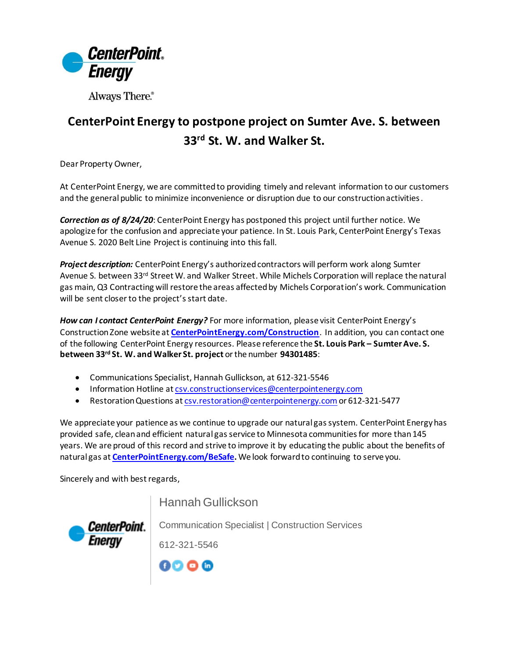

Always There.®

## **CenterPoint Energy to postpone project on Sumter Ave. S. between 33rd St. W. and Walker St.**

Dear Property Owner,

At CenterPoint Energy, we are committed to providing timely and relevant information to our customers and the general public to minimize inconvenience or disruption due to our construction activities.

*Correction as of 8/24/20*: CenterPoint Energy has postponed this project until further notice. We apologize for the confusion and appreciate your patience. In St. Louis Park, CenterPoint Energy's Texas Avenue S. 2020 Belt Line Project is continuing into this fall.

*Project description:* CenterPoint Energy's authorized contractors will perform work along Sumter Avenue S. between 33<sup>rd</sup> Street W. and Walker Street. While Michels Corporation will replace the natural gas main, Q3 Contracting will restore the areas affected by Michels Corporation's work. Communication will be sent closer to the project's start date.

*How can I contact CenterPoint Energy?* For more information, please visit CenterPoint Energy's Construction Zone website at **[CenterPointEnergy.com/Construction](http://www.centerpointenergy.com/Construction)**. In addition, you can contact one of the following CenterPoint Energy resources. Please reference the **St. Louis Park – Sumter Ave. S. between 33rd St. W. and Walker St. project** or the number **94301485**:

- Communications Specialist, Hannah Gullickson, at 612-321-5546
- Information Hotline a[t csv.constructionservices@centerpointenergy.com](mailto:csv.constructionservices@centerpointenergy.com)
- Restoration Questions a[t csv.restoration@centerpointenergy.com](mailto:csv.restoration@centerpointenergy.com) or 612-321-5477

We appreciate your patience as we continue to upgrade our natural gas system. CenterPoint Energy has provided safe, clean and efficient natural gas service to Minnesota communities for more than 145 years. We are proud of this record and strive to improve it by educating the public about the benefits of natural gas at **[CenterPointEnergy.com/BeSafe.](http://www.centerpointenergy.com/BeSafe)** We look forward to continuing to serve you.

Sincerely and with best regards,